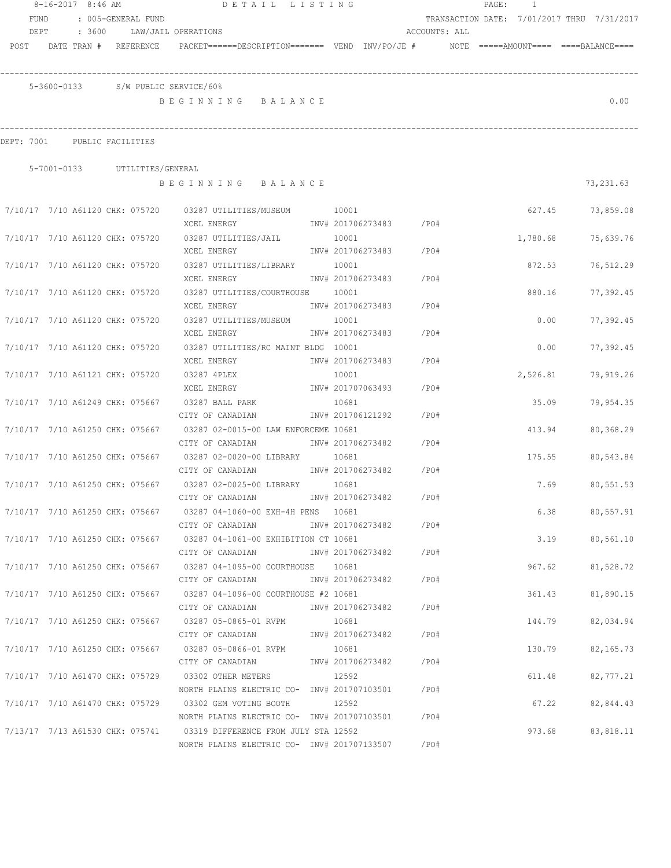|                                    | $8-16-2017$ 8:46 AM |                               | DETAIL LISTING                                                                                                 |       |                         |      | PAGE: 1 |          |                                            |
|------------------------------------|---------------------|-------------------------------|----------------------------------------------------------------------------------------------------------------|-------|-------------------------|------|---------|----------|--------------------------------------------|
| FUND                               |                     | : 005-GENERAL FUND            |                                                                                                                |       |                         |      |         |          | TRANSACTION DATE: 7/01/2017 THRU 7/31/2017 |
| DEPT<br>POST DATE TRAN # REFERENCE | : 3600              |                               | LAW/JAIL OPERATIONS<br>PACKET======DESCRIPTION======= VEND INV/PO/JE #    NOTE =====AMOUNT==== ====BALANCE==== |       | ACCOUNTS: ALL           |      |         |          |                                            |
|                                    |                     |                               |                                                                                                                |       |                         |      |         |          |                                            |
|                                    |                     |                               | 5-3600-0133 S/W PUBLIC SERVICE/60%                                                                             |       |                         |      |         |          |                                            |
|                                    |                     |                               | BEGINNING BALANCE                                                                                              |       |                         |      |         |          | 0.00                                       |
| DEPT: 7001 PUBLIC FACILITIES       |                     |                               |                                                                                                                |       |                         |      |         |          |                                            |
|                                    |                     |                               |                                                                                                                |       |                         |      |         |          |                                            |
|                                    |                     | 5-7001-0133 UTILITIES/GENERAL | BEGINNING BALANCE                                                                                              |       |                         |      |         |          | 73,231.63                                  |
|                                    |                     |                               | 7/10/17 7/10 A61120 CHK: 075720 03287 UTILITIES/MUSEUM 10001                                                   |       |                         |      |         | 627.45   | 73,859.08                                  |
|                                    |                     |                               | XCEL ENERGY 1NV# 201706273483 /PO#                                                                             |       |                         |      |         |          |                                            |
|                                    |                     |                               | 7/10/17 7/10 A61120 CHK: 075720 03287 UTILITIES/JAIL 10001                                                     |       |                         |      |         | 1,780.68 | 75,639.76                                  |
|                                    |                     |                               | XCEL ENERGY                                                                                                    |       | INV# 201706273483 /PO#  |      |         |          |                                            |
| 7/10/17 7/10 A61120 CHK: 075720    |                     |                               | 03287 UTILITIES/LIBRARY 10001                                                                                  |       |                         |      |         | 872.53   | 76,512.29                                  |
|                                    |                     |                               | XCEL ENERGY                                                                                                    |       | INV# 201706273483       | /PO# |         |          |                                            |
| 7/10/17 7/10 A61120 CHK: 075720    |                     |                               | 03287 UTILITIES/COURTHOUSE 10001                                                                               |       |                         |      |         | 880.16   | 77,392.45                                  |
|                                    |                     |                               | XCEL ENERGY                                                                                                    |       | INV# 201706273483       | /PO# |         |          |                                            |
| 7/10/17 7/10 A61120 CHK: 075720    |                     |                               | 03287 UTILITIES/MUSEUM                                                                                         | 10001 |                         |      |         | 0.00     | 77,392.45                                  |
|                                    |                     |                               | XCEL ENERGY                                                                                                    |       | INV# 201706273483       | /PO# |         |          |                                            |
| 7/10/17 7/10 A61120 CHK: 075720    |                     |                               | 03287 UTILITIES/RC MAINT BLDG 10001                                                                            |       |                         |      |         | 0.00     | 77,392.45                                  |
|                                    |                     |                               | XCEL ENERGY                                                                                                    |       | INV# 201706273483       | /PO# |         |          |                                            |
| 7/10/17 7/10 A61121 CHK: 075720    |                     |                               | 03287 4PLEX                                                                                                    | 10001 |                         |      |         | 2,526.81 | 79,919.26                                  |
|                                    |                     |                               | XCEL ENERGY                                                                                                    |       | INV# 201707063493       | /PO# |         |          |                                            |
| 7/10/17 7/10 A61249 CHK: 075667    |                     |                               | 03287 BALL PARK                                                                                                | 10681 |                         |      |         | 35.09    | 79,954.35                                  |
|                                    |                     |                               | CITY OF CANADIAN                                                                                               |       | INV# 201706121292       | /PO# |         |          |                                            |
| 7/10/17 7/10 A61250 CHK: 075667    |                     |                               | 03287 02-0015-00 LAW ENFORCEME 10681                                                                           |       |                         |      |         | 413.94   | 80,368.29                                  |
|                                    |                     |                               | CITY OF CANADIAN METALLY AND THE 201706273482 / PO#                                                            |       |                         |      |         |          |                                            |
|                                    |                     |                               | 7/10/17 7/10 A61250 CHK: 075667 03287 02-0020-00 LIBRARY 10681                                                 |       |                         |      |         | 175.55   | 80,543.84                                  |
|                                    |                     |                               | CITY OF CANADIAN 1NV# 201706273482 / PO#                                                                       |       |                         |      |         |          |                                            |
| 7/10/17 7/10 A61250 CHK: 075667    |                     |                               | 03287 02-0025-00 LIBRARY 10681                                                                                 |       |                         |      |         | 7.69     | 80,551.53                                  |
|                                    |                     |                               | CITY OF CANADIAN                                                                                               |       | INV# 201706273482       | /PO# |         |          |                                            |
|                                    |                     |                               | 7/10/17 7/10 A61250 CHK: 075667 03287 04-1060-00 EXH-4H PENS 10681                                             |       |                         |      |         |          | 6.38<br>80,557.91                          |
|                                    |                     |                               | CITY OF CANADIAN                                                                                               |       | INV# 201706273482 /PO#  |      |         |          |                                            |
|                                    |                     |                               | 7/10/17 7/10 A61250 CHK: 075667 03287 04-1061-00 EXHIBITION CT 10681                                           |       |                         |      |         | 3.19     | 80,561.10                                  |
|                                    |                     |                               | CITY OF CANADIAN                                                                                               |       | INV# 201706273482 /PO#  |      |         |          |                                            |
|                                    |                     |                               | 7/10/17 7/10 A61250 CHK: 075667 03287 04-1095-00 COURTHOUSE 10681                                              |       |                         |      |         | 967.62   | 81,528.72                                  |
|                                    |                     |                               | CITY OF CANADIAN                                                                                               |       | INV# 201706273482 / PO# |      |         |          |                                            |
|                                    |                     |                               | 7/10/17 7/10 A61250 CHK: 075667 03287 04-1096-00 COURTHOUSE #2 10681                                           |       |                         |      |         | 361.43   | 81,890.15                                  |
|                                    |                     |                               | CITY OF CANADIAN                                                                                               |       | INV# 201706273482 / PO# |      |         |          |                                            |
|                                    |                     |                               | 7/10/17 7/10 A61250 CHK: 075667 03287 05-0865-01 RVPM                                                          | 10681 |                         |      |         | 144.79   | 82,034.94                                  |
|                                    |                     |                               | CITY OF CANADIAN MW# 201706273482 / PO#                                                                        |       |                         |      |         |          |                                            |
|                                    |                     |                               | 7/10/17  7/10  A61250  CHK:  075667  03287  05-0866-01  RVPM                                                   | 10681 |                         |      |         | 130.79   | 82,165.73                                  |
|                                    |                     |                               | CITY OF CANADIAN 1NV# 201706273482 / PO#                                                                       |       |                         |      |         |          |                                            |
|                                    |                     |                               | 7/10/17 7/10 A61470 CHK: 075729 03302 OTHER METERS 12592                                                       |       |                         |      |         | 611.48   | 82,777.21                                  |
|                                    |                     |                               | NORTH PLAINS ELECTRIC CO- INV# 201707103501 / PO#                                                              |       |                         |      |         |          |                                            |
|                                    |                     |                               | 7/10/17 7/10 A61470 CHK: 075729 03302 GEM VOTING BOOTH 12592                                                   |       |                         |      |         | 67.22    | 82,844.43                                  |
|                                    |                     |                               | NORTH PLAINS ELECTRIC CO- INV# 201707103501 / PO#                                                              |       |                         |      |         |          |                                            |
|                                    |                     |                               | 7/13/17 7/13 A61530 CHK: 075741 03319 DIFFERENCE FROM JULY STA 12592                                           |       |                         |      |         | 973.68   | 83,818.11                                  |
|                                    |                     |                               | NORTH PLAINS ELECTRIC CO- INV# 201707133507                                                                    |       |                         | /PO# |         |          |                                            |
|                                    |                     |                               |                                                                                                                |       |                         |      |         |          |                                            |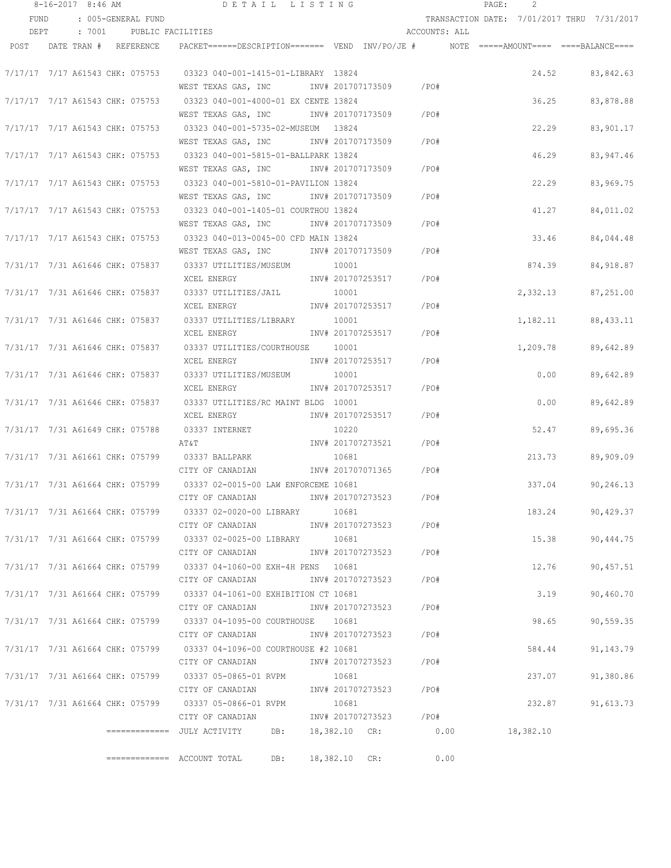|      | $8-16-2017$ 8:46 AM             |                    | DETAIL LISTING                                                                                    |                            |                        |               | PAGE:                        | 2        |                                            |
|------|---------------------------------|--------------------|---------------------------------------------------------------------------------------------------|----------------------------|------------------------|---------------|------------------------------|----------|--------------------------------------------|
| FUND |                                 | : 005-GENERAL FUND |                                                                                                   |                            |                        |               |                              |          | TRANSACTION DATE: 7/01/2017 THRU 7/31/2017 |
| DEPT | : 7001                          | PUBLIC FACILITIES  |                                                                                                   |                            |                        | ACCOUNTS: ALL |                              |          |                                            |
|      | POST DATE TRAN # REFERENCE      |                    | PACKET======DESCRIPTION========  VEND  INV/PO/JE #         NOTE  =====AMOUNT====  ====BALANCE==== |                            |                        |               |                              |          |                                            |
|      |                                 |                    |                                                                                                   |                            |                        |               |                              |          |                                            |
|      | 7/17/17 7/17 A61543 CHK: 075753 |                    | 03323 040-001-1415-01-LIBRARY 13824                                                               |                            |                        |               |                              | 24.52    | 83,842.63                                  |
|      |                                 |                    | WEST TEXAS GAS, INC                                                                               | INV# 201707173509          |                        | /PO#          |                              |          |                                            |
|      | 7/17/17 7/17 A61543 CHK: 075753 |                    | 03323 040-001-4000-01 EX CENTE 13824                                                              |                            |                        |               |                              | 36.25    | 83,878.88                                  |
|      |                                 |                    | WEST TEXAS GAS, INC                                                                               | INV# 201707173509          |                        | $/$ PO#       |                              |          |                                            |
|      | 7/17/17 7/17 A61543 CHK: 075753 |                    |                                                                                                   |                            |                        |               |                              | 22.29    | 83,901.17                                  |
|      |                                 |                    | WEST TEXAS GAS, INC                                                                               | INV# 201707173509          |                        | /PO#          |                              |          |                                            |
|      | 7/17/17 7/17 A61543 CHK: 075753 |                    | 03323 040-001-5815-01-BALLPARK 13824                                                              |                            |                        |               |                              | 46.29    | 83,947.46                                  |
|      |                                 |                    | WEST TEXAS GAS, INC                                                                               | INV# 201707173509          |                        | /PO#          |                              |          |                                            |
|      | 7/17/17 7/17 A61543 CHK: 075753 |                    | 03323 040-001-5810-01-PAVILION 13824                                                              |                            |                        |               |                              | 22.29    | 83,969.75                                  |
|      |                                 |                    | WEST TEXAS GAS, INC MONTH 201707173509                                                            |                            |                        | /PO#          |                              |          |                                            |
|      | 7/17/17 7/17 A61543 CHK: 075753 |                    | 03323 040-001-1405-01 COURTHOU 13824                                                              |                            |                        |               |                              | 41.27    | 84,011.02                                  |
|      |                                 |                    | WEST TEXAS GAS, INC METALL 201707173509                                                           |                            |                        | /PO#          |                              |          |                                            |
|      | 7/17/17 7/17 A61543 CHK: 075753 |                    | 03323 040-013-0045-00 CFD MAIN 13824                                                              |                            |                        |               |                              | 33.46    | 84,044.48                                  |
|      |                                 |                    | WEST TEXAS GAS, INC MONTH 201707173509                                                            |                            |                        | /PO#          |                              |          |                                            |
|      |                                 |                    | 7/31/17  7/31  A61646  CHK:  075837   03337  UTILITIES/MUSEUM                                     | 10001                      |                        |               |                              | 874.39   | 84, 918.87                                 |
|      |                                 |                    | XCEL ENERGY                                                                                       |                            | INV# 201707253517      | /PO#          |                              |          |                                            |
|      |                                 |                    | 7/31/17  7/31  A61646  CHK:  075837   03337  UTILITIES/JAIL                                       | 10001                      |                        |               |                              | 2,332.13 | 87,251.00                                  |
|      |                                 |                    | XCEL ENERGY                                                                                       |                            | INV# 201707253517      | /PO#          |                              |          |                                            |
|      | 7/31/17 7/31 A61646 CHK: 075837 |                    | 03337 UTILITIES/LIBRARY                                                                           | 10001                      |                        |               |                              | 1,182.11 | 88, 433.11                                 |
|      |                                 |                    | XCEL ENERGY                                                                                       | INV# 201707253517          |                        | $/$ PO#       |                              |          |                                            |
|      |                                 |                    |                                                                                                   |                            |                        |               |                              |          |                                            |
|      | 7/31/17 7/31 A61646 CHK: 075837 |                    | 03337 UTILITIES/COURTHOUSE                                                                        | 10001<br>INV# 201707253517 |                        | /PO#          |                              | 1,209.78 | 89,642.89                                  |
|      |                                 |                    | XCEL ENERGY                                                                                       |                            |                        |               |                              |          |                                            |
|      | 7/31/17 7/31 A61646 CHK: 075837 |                    | 03337 UTILITIES/MUSEUM                                                                            | 10001                      |                        |               |                              | 0.00     | 89,642.89                                  |
|      |                                 |                    | XCEL ENERGY                                                                                       | INV# 201707253517          |                        | /PO#          |                              |          |                                            |
|      | 7/31/17 7/31 A61646 CHK: 075837 |                    | 03337 UTILITIES/RC MAINT BLDG 10001                                                               |                            |                        |               |                              | 0.00     | 89,642.89                                  |
|      |                                 |                    | XCEL ENERGY                                                                                       | INV# 201707253517          |                        | /PO#          |                              |          |                                            |
|      | 7/31/17 7/31 A61649 CHK: 075788 |                    | 03337 INTERNET                                                                                    | 10220                      |                        |               |                              | 52.47    | 89,695.36                                  |
|      |                                 |                    | AT&T                                                                                              | INV# 201707273521          |                        | /PO#          |                              |          |                                            |
|      | 7/31/17 7/31 A61661 CHK: 075799 |                    | 03337 BALLPARK                                                                                    | 10681                      |                        |               |                              | 213.73   | 89,909.09                                  |
|      |                                 |                    | CITY OF CANADIAN                                                                                  | INV# 201707071365          |                        | /PO#          |                              |          |                                            |
|      | 7/31/17 7/31 A61664 CHK: 075799 |                    | 03337 02-0015-00 LAW ENFORCEME 10681                                                              |                            |                        |               |                              | 337.04   | 90,246.13                                  |
|      |                                 |                    | CITY OF CANADIAN                                                                                  | INV# 201707273523          |                        | /PO#          |                              |          |                                            |
|      |                                 |                    | 7/31/17  7/31  A61664  CHK:  075799   03337  02-0020-00  LIBRARY                                  | 10681                      |                        |               |                              | 183.24   | 90,429.37                                  |
|      |                                 |                    | CITY OF CANADIAN                                                                                  |                            | INV# 201707273523 /PO# |               |                              |          |                                            |
|      |                                 |                    | 7/31/17 7/31 A61664 CHK: 075799 03337 02-0025-00 LIBRARY 10681                                    |                            |                        |               |                              | 15.38    | 90,444.75                                  |
|      |                                 |                    | CITY OF CANADIAN                                                                                  |                            | INV# 201707273523      | /PO#          |                              |          |                                            |
|      |                                 |                    | 7/31/17 7/31 A61664 CHK: 075799 03337 04-1060-00 EXH-4H PENS 10681                                |                            |                        |               |                              | 12.76    | 90,457.51                                  |
|      |                                 |                    | CITY OF CANADIAN                                                                                  | INV# 201707273523          |                        | /PO#          |                              |          |                                            |
|      |                                 |                    | 7/31/17 7/31 A61664 CHK: 075799 03337 04-1061-00 EXHIBITION CT 10681                              |                            |                        |               |                              | 3.19     | 90,460.70                                  |
|      |                                 |                    | CITY OF CANADIAN                                                                                  | INV# 201707273523          |                        | /PO#          |                              |          |                                            |
|      |                                 |                    | 7/31/17 7/31 A61664 CHK: 075799 03337 04-1095-00 COURTHOUSE 10681                                 |                            |                        |               |                              | 98.65    | 90,559.35                                  |
|      |                                 |                    | CITY OF CANADIAN                                                                                  |                            | INV# 201707273523 /PO# |               |                              |          |                                            |
|      |                                 |                    | 7/31/17 7/31 A61664 CHK: 075799 03337 04-1096-00 COURTHOUSE #2 10681                              |                            |                        |               |                              | 584.44   | 91,143.79                                  |
|      |                                 |                    | CITY OF CANADIAN                                                                                  | INV# 201707273523          |                        | /PO#          |                              |          |                                            |
|      |                                 |                    | 7/31/17  7/31  A61664  CHK:  075799   03337  05-0865-01   RVPM                                    | 10681                      |                        |               |                              | 237.07   | 91,380.86                                  |
|      |                                 |                    | CITY OF CANADIAN                                                                                  |                            | INV# 201707273523 /PO# |               |                              |          |                                            |
|      |                                 |                    | 7/31/17 7/31 A61664 CHK: 075799 03337 05-0866-01 RVPM                                             | 10681                      |                        |               |                              | 232.87   | 91,613.73                                  |
|      |                                 |                    | CITY OF CANADIAN                                                                                  |                            | INV# 201707273523 /PO# |               |                              |          |                                            |
|      |                                 |                    | =============  JULY ACTIVITY<br>DB:                                                               |                            |                        |               | 18,382.10 CR: 0.00 18,382.10 |          |                                            |
|      |                                 |                    |                                                                                                   |                            |                        |               |                              |          |                                            |
|      |                                 |                    | $\equiv$ ============ ACCOUNT TOTAL<br>DB:                                                        | 18,382.10 CR:              |                        | 0.00          |                              |          |                                            |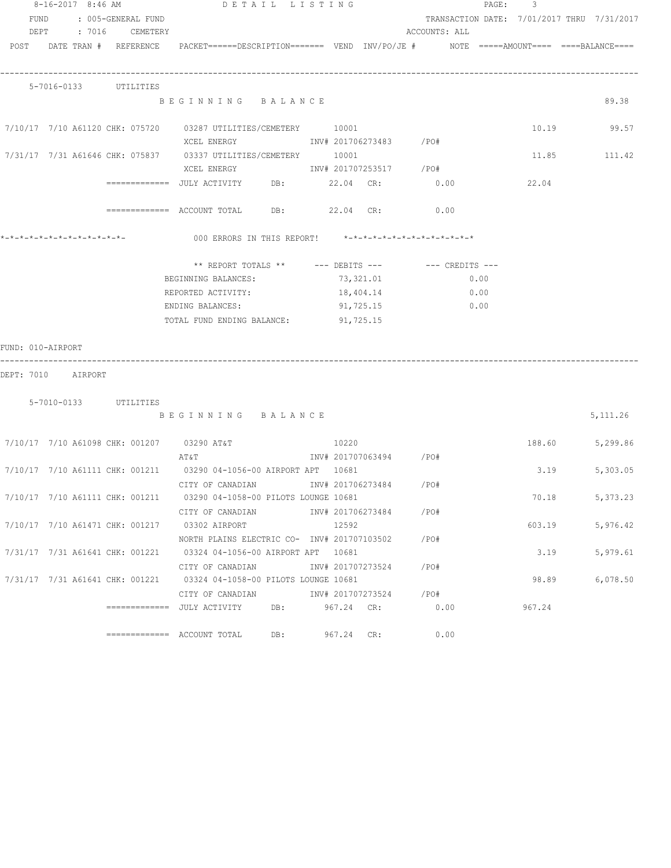|                    | 8-16-2017 8:46 AM |                              | DETAIL LISTING                                                                                                  |     |                        |           |               |      | PAGE: 3 |                                            |
|--------------------|-------------------|------------------------------|-----------------------------------------------------------------------------------------------------------------|-----|------------------------|-----------|---------------|------|---------|--------------------------------------------|
|                    |                   | FUND : 005-GENERAL FUND      |                                                                                                                 |     |                        |           |               |      |         | TRANSACTION DATE: 7/01/2017 THRU 7/31/2017 |
|                    |                   | DEPT : 7016 CEMETERY         |                                                                                                                 |     |                        |           | ACCOUNTS: ALL |      |         |                                            |
|                    |                   |                              | POST DATE TRAN # REFERENCE PACKET======DESCRIPTION======= VEND INV/PO/JE # NOTE =====AMOUNT==== ====BALANCE==== |     |                        |           |               |      |         |                                            |
|                    |                   |                              |                                                                                                                 |     |                        |           |               |      |         |                                            |
|                    |                   |                              |                                                                                                                 |     |                        |           |               |      |         |                                            |
|                    |                   | 5-7016-0133 UTILITIES        |                                                                                                                 |     |                        |           |               |      |         |                                            |
|                    |                   |                              | BEGINNING BALANCE                                                                                               |     |                        |           |               |      |         | 89.38                                      |
|                    |                   |                              |                                                                                                                 |     |                        |           |               |      |         | 10.19 99.57                                |
|                    |                   |                              | XCEL ENERGY 1NV# 201706273483 /PO#                                                                              |     |                        |           |               |      |         |                                            |
|                    |                   |                              | 7/31/17 7/31 A61646 CHK: 075837 03337 UTILITIES/CEMETERY 10001                                                  |     |                        |           |               |      |         | 11.85 111.42                               |
|                    |                   |                              |                                                                                                                 |     |                        |           |               |      |         |                                            |
|                    |                   |                              | =============     JULY  ACTIVITY            DB:                  22.04      CR:                     0.00        |     |                        |           |               |      | 22.04   |                                            |
|                    |                   |                              |                                                                                                                 |     |                        |           |               |      |         |                                            |
|                    |                   |                              | ============ ACCOUNT TOTAL DB: 22.04 CR: 0.00                                                                   |     |                        |           |               |      |         |                                            |
|                    |                   |                              |                                                                                                                 |     |                        |           |               |      |         |                                            |
|                    |                   | *-*-*-*-*-*-*-*-*-*-*-*-*-*- | 000 ERRORS IN THIS REPORT! $*-*-*-*-*-*-*-*-*-*-*-*-*-*-**$                                                     |     |                        |           |               |      |         |                                            |
|                    |                   |                              | ** REPORT TOTALS ** --- DEBITS --- -- -- CREDITS ---                                                            |     |                        |           |               |      |         |                                            |
|                    |                   |                              | BEGINNING BALANCES:                                                                                             |     |                        | 73,321.01 |               | 0.00 |         |                                            |
|                    |                   |                              |                                                                                                                 |     |                        |           |               |      |         |                                            |
|                    |                   |                              | REPORTED ACTIVITY:                                                                                              |     | 18,404.14              |           |               | 0.00 |         |                                            |
|                    |                   |                              | ENDING BALANCES:                                                                                                |     |                        | 91,725.15 | 0.00          |      |         |                                            |
|                    |                   |                              | TOTAL FUND ENDING BALANCE: 91,725.15                                                                            |     |                        |           |               |      |         |                                            |
| FUND: 010-AIRPORT  |                   |                              |                                                                                                                 |     |                        |           |               |      |         |                                            |
|                    |                   |                              |                                                                                                                 |     |                        |           |               |      |         |                                            |
| DEPT: 7010 AIRPORT |                   |                              |                                                                                                                 |     |                        |           |               |      |         |                                            |
|                    |                   |                              |                                                                                                                 |     |                        |           |               |      |         |                                            |
|                    |                   | 5-7010-0133 UTILITIES        |                                                                                                                 |     |                        |           |               |      |         |                                            |
|                    |                   |                              | BEGINNING BALANCE                                                                                               |     |                        |           |               |      |         | 5, 111.26                                  |
|                    |                   |                              | 7/10/17 7/10 A61098 CHK: 001207 03290 AT&T                                                                      |     | 10220                  |           |               |      |         | 188.60 5,299.86                            |
|                    |                   |                              | AT&T                                                                                                            |     | INV# 201707063494 /PO# |           |               |      |         |                                            |
|                    |                   |                              | 7/10/17 7/10 A61111 CHK: 001211 03290 04-1056-00 AIRPORT APT 10681                                              |     |                        |           |               |      | 3.19    | 5,303.05                                   |
|                    |                   |                              | CITY OF CANADIAN MOTHOM INV# 201706273484 / PO#                                                                 |     |                        |           |               |      |         |                                            |
|                    |                   |                              | 7/10/17 7/10 A61111 CHK: 001211 03290 04-1058-00 PILOTS LOUNGE 10681                                            |     |                        |           |               |      | 70.18   | 5,373.23                                   |
|                    |                   |                              | CITY OF CANADIAN                                                                                                |     | INV# 201706273484 /PO# |           |               |      |         |                                            |
|                    |                   |                              | 7/10/17 7/10 A61471 CHK: 001217 03302 AIRPORT                                                                   |     | 12592                  |           |               |      | 603.19  | 5,976.42                                   |
|                    |                   |                              | NORTH PLAINS ELECTRIC CO- INV# 201707103502 / PO#                                                               |     |                        |           |               |      |         |                                            |
|                    |                   |                              | 7/31/17 7/31 A61641 CHK: 001221 03324 04-1056-00 AIRPORT APT 10681                                              |     |                        |           |               |      | 3.19    | 5,979.61                                   |
|                    |                   |                              | CITY OF CANADIAN                                                                                                |     | INV# 201707273524 /PO# |           |               |      |         |                                            |
|                    |                   |                              | 7/31/17 7/31 A61641 CHK: 001221 03324 04-1058-00 PILOTS LOUNGE 10681                                            |     |                        |           |               |      | 98.89   | 6,078.50                                   |
|                    |                   |                              | CITY OF CANADIAN                                                                                                |     | INV# 201707273524 /PO# |           |               |      |         |                                            |
|                    |                   |                              | =============  JULY ACTIVITY                                                                                    | DB: | 967.24 CR:             |           | 0.00          |      | 967.24  |                                            |
|                    |                   |                              |                                                                                                                 |     |                        |           |               |      |         |                                            |
|                    |                   |                              |                                                                                                                 |     | DB: 967.24 CR:         |           | 0.00          |      |         |                                            |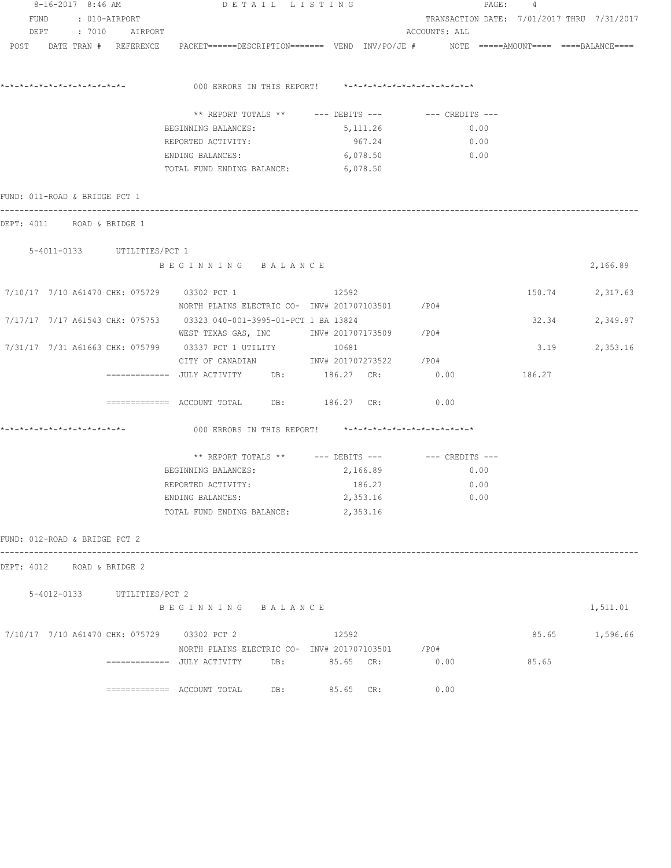| $8-16-2017$ 8:46 AM           |                     |  |                             | DETAIL LISTING                                                                                         |  |           | PAGE:<br>4          |      |        |                                            |  |
|-------------------------------|---------------------|--|-----------------------------|--------------------------------------------------------------------------------------------------------|--|-----------|---------------------|------|--------|--------------------------------------------|--|
| FUND                          |                     |  | : 010-AIRPORT               |                                                                                                        |  |           |                     |      |        | TRANSACTION DATE: 7/01/2017 THRU 7/31/2017 |  |
|                               | DEPT : 7010 AIRPORT |  |                             |                                                                                                        |  |           | ACCOUNTS: ALL       |      |        |                                            |  |
|                               |                     |  | POST DATE TRAN # REFERENCE  | PACKET======DESCRIPTION======= VEND INV/PO/JE #    NOTE =====AMOUNT==== ====BALANCE====                |  |           |                     |      |        |                                            |  |
|                               |                     |  |                             |                                                                                                        |  |           |                     |      |        |                                            |  |
|                               |                     |  |                             | 000 ERRORS IN THIS REPORT! *-*-*-*-*-*-*-*-*-*-*-*-*-*-                                                |  |           |                     |      |        |                                            |  |
|                               |                     |  |                             | ** REPORT TOTALS ** --- DEBITS --- -- CREDITS ---                                                      |  |           |                     |      |        |                                            |  |
|                               |                     |  |                             | BEGINNING BALANCES:                                                                                    |  | 5,111.26  |                     | 0.00 |        |                                            |  |
|                               |                     |  |                             | REPORTED ACTIVITY:                                                                                     |  | 967.24    |                     | 0.00 |        |                                            |  |
|                               |                     |  |                             | ENDING BALANCES:<br>TOTAL FUND ENDING BALANCE: 6,078.50                                                |  | 6,078.50  | 0.00                |      |        |                                            |  |
|                               |                     |  |                             |                                                                                                        |  |           |                     |      |        |                                            |  |
| FUND: 011-ROAD & BRIDGE PCT 1 |                     |  |                             |                                                                                                        |  |           |                     |      |        |                                            |  |
|                               |                     |  | DEPT: 4011 ROAD & BRIDGE 1  |                                                                                                        |  |           |                     |      |        |                                            |  |
|                               |                     |  | 5-4011-0133 UTILITIES/PCT 1 |                                                                                                        |  |           |                     |      |        |                                            |  |
|                               |                     |  |                             | BEGINNING BALANCE                                                                                      |  |           |                     |      |        | 2,166.89                                   |  |
|                               |                     |  |                             | 7/10/17 7/10 A61470 CHK: 075729 03302 PCT 1                                                            |  | 12592     |                     |      |        | 150.74 2,317.63                            |  |
|                               |                     |  |                             | NORTH PLAINS ELECTRIC CO- $\frac{1}{100}$ 1NV# 201707103501 /PO#                                       |  |           |                     |      |        |                                            |  |
|                               |                     |  |                             | 7/17/17 7/17 A61543 CHK: 075753 03323 040-001-3995-01-PCT 1 BA 13824                                   |  |           |                     |      |        | 32.34<br>2,349.97                          |  |
|                               |                     |  |                             | WEST TEXAS GAS, INC       INV# 201707173509     /PO#                                                   |  |           |                     |      |        |                                            |  |
|                               |                     |  |                             | 7/31/17  7/31  A61663  CHK:  075799   03337  PCT   1   UTILITY                                         |  | 10681     |                     |      | 3.19   | 2,353.16                                   |  |
|                               |                     |  |                             | CITY OF CANADIAN 1NV# 201707273522 / PO#                                                               |  |           |                     |      |        |                                            |  |
|                               |                     |  |                             | ============     JULY  ACTIVITY          DB:              186.27     CR:                     0.00      |  |           |                     |      | 186.27 |                                            |  |
|                               |                     |  |                             | $\overline{\phantom{z}}$ ============ ACCOUNT TOTAL DB: 186.27 CR:                                     |  |           | 0.00                |      |        |                                            |  |
|                               |                     |  |                             | 000 ERRORS IN THIS REPORT! *-*-*-*-*-*-*-*-*-*-*-*-*-*-                                                |  |           |                     |      |        |                                            |  |
|                               |                     |  |                             | ** REPORT TOTALS ** --- DEBITS ---                                                                     |  |           | $---$ CREDITS $---$ |      |        |                                            |  |
|                               |                     |  |                             | BEGINNING BALANCES:                                                                                    |  | 2,166.89  |                     | 0.00 |        |                                            |  |
|                               |                     |  |                             | REPORTED ACTIVITY:                                                                                     |  | 186.27    |                     | 0.00 |        |                                            |  |
|                               |                     |  |                             | ENDING BALANCES:                                                                                       |  | 2,353.16  |                     | 0.00 |        |                                            |  |
|                               |                     |  |                             | TOTAL FUND ENDING BALANCE:                                                                             |  | 2,353.16  |                     |      |        |                                            |  |
| FUND: 012-ROAD & BRIDGE PCT 2 |                     |  |                             |                                                                                                        |  |           |                     |      |        |                                            |  |
|                               |                     |  | DEPT: 4012 ROAD & BRIDGE 2  |                                                                                                        |  |           |                     |      |        |                                            |  |
|                               |                     |  |                             |                                                                                                        |  |           |                     |      |        |                                            |  |
|                               |                     |  | 5-4012-0133 UTILITIES/PCT 2 | BEGINNING BALANCE                                                                                      |  |           |                     |      |        | 1,511.01                                   |  |
|                               |                     |  |                             | 7/10/17 7/10 A61470 CHK: 075729 03302 PCT 2                                                            |  | 12592     |                     |      |        | 85.65 1,596.66                             |  |
|                               |                     |  |                             | NORTH PLAINS ELECTRIC CO- INV# 201707103501 / PO#                                                      |  |           |                     |      |        |                                            |  |
|                               |                     |  |                             | =============    JULY  ACTIVITY          DB:                   85.65     CR:                      0.00 |  |           |                     |      | 85.65  |                                            |  |
|                               |                     |  |                             |                                                                                                        |  | 85.65 CR: | 0.00                |      |        |                                            |  |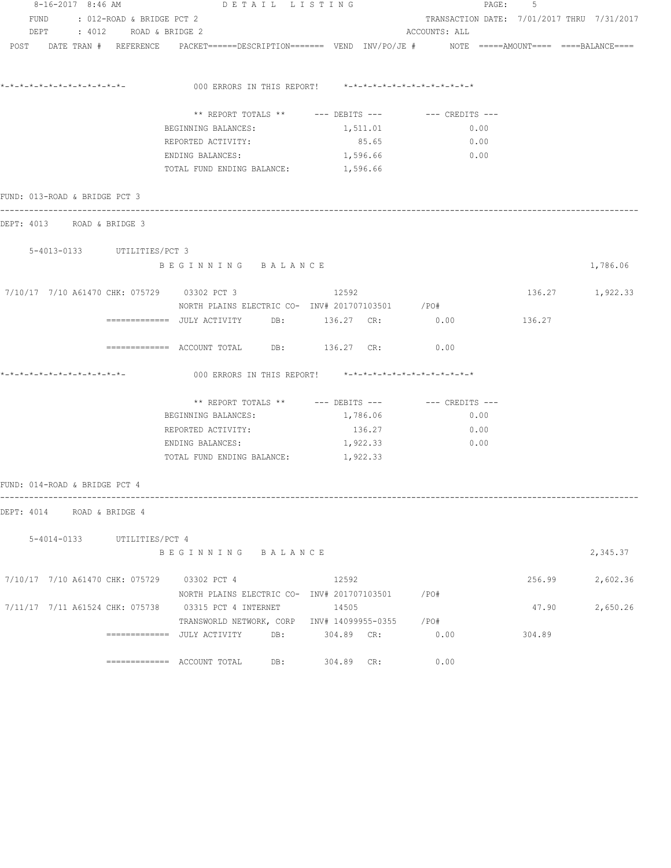| 8-16-2017 8:46 AM                           | DETAIL LISTING                                                                                                  |          |                                            | PAGE: 5 |                 |
|---------------------------------------------|-----------------------------------------------------------------------------------------------------------------|----------|--------------------------------------------|---------|-----------------|
| FUND : 012-ROAD & BRIDGE PCT 2              |                                                                                                                 |          | TRANSACTION DATE: 7/01/2017 THRU 7/31/2017 |         |                 |
| DEPT : 4012 ROAD & BRIDGE 2                 |                                                                                                                 |          | ACCOUNTS: ALL                              |         |                 |
|                                             | POST DATE TRAN # REFERENCE PACKET======DESCRIPTION======= VEND INV/PO/JE # NOTE =====AMOUNT==== ====BALANCE==== |          |                                            |         |                 |
|                                             | 000 ERRORS IN THIS REPORT! *-*-*-*-*-*-*-*-*-*-*-*-*-*-                                                         |          |                                            |         |                 |
|                                             | ** REPORT TOTALS ** --- DEBITS --- -- CREDITS ---                                                               |          |                                            |         |                 |
|                                             | BEGINNING BALANCES:                                                                                             | 1,511.01 | 0.00                                       |         |                 |
|                                             | REPORTED ACTIVITY:                                                                                              | 85.65    | 0.00                                       |         |                 |
|                                             | ENDING BALANCES:                                                                                                | 1,596.66 | 0.00                                       |         |                 |
|                                             | TOTAL FUND ENDING BALANCE:                                                                                      | 1,596.66 |                                            |         |                 |
| FUND: 013-ROAD & BRIDGE PCT 3               |                                                                                                                 |          |                                            |         |                 |
| DEPT: 4013 ROAD & BRIDGE 3                  |                                                                                                                 |          |                                            |         |                 |
| 5-4013-0133 UTILITIES/PCT 3                 |                                                                                                                 |          |                                            |         |                 |
|                                             | BEGINNING BALANCE                                                                                               |          |                                            |         | 1,786.06        |
| 7/10/17 7/10 A61470 CHK: 075729 03302 PCT 3 | NORTH PLAINS ELECTRIC CO- INV# 201707103501 / PO#                                                               | 12592    |                                            |         | 136.27 1,922.33 |
|                                             |                                                                                                                 |          | 0.00                                       | 136.27  |                 |
|                                             | ============ ACCOUNT TOTAL DB: 136.27 CR: 0.00                                                                  |          |                                            |         |                 |
|                                             | 000 ERRORS IN THIS REPORT! *-*-*-*-*-*-*-*-*-*-*-*-*-*-                                                         |          |                                            |         |                 |
|                                             | ** REPORT TOTALS ** --- DEBITS --- -- -- CREDITS ---                                                            |          |                                            |         |                 |
|                                             | BEGINNING BALANCES:                                                                                             | 1,786.06 | 0.00                                       |         |                 |
|                                             | REPORTED ACTIVITY:                                                                                              | 136.27   | 0.00                                       |         |                 |
|                                             | ENDING BALANCES:                                                                                                | 1,922.33 | 0.00                                       |         |                 |
|                                             | TOTAL FUND ENDING BALANCE:                                                                                      | 1,922.33 |                                            |         |                 |
| FUND: 014-ROAD & BRIDGE PCT 4               |                                                                                                                 |          |                                            |         |                 |
| DEPT: 4014 ROAD & BRIDGE 4                  |                                                                                                                 |          |                                            |         |                 |
| 5-4014-0133 UTILITIES/PCT 4                 |                                                                                                                 |          |                                            |         |                 |
|                                             | BEGINNING BALANCE                                                                                               |          |                                            |         | 2,345.37        |
| 7/10/17 7/10 A61470 CHK: 075729 03302 PCT 4 |                                                                                                                 | 12592    |                                            | 256.99  | 2,602.36        |
|                                             | NORTH PLAINS ELECTRIC CO- INV# 201707103501 / PO#                                                               |          |                                            |         |                 |
|                                             | 7/11/17  7/11  A61524  CHK:  075738  03315  PCT  4  INTERNET                                                    | 14505    |                                            | 47.90   | 2,650.26        |
|                                             | TRANSWORLD NETWORK, CORP INV# 14099955-0355 /PO#                                                                |          |                                            |         |                 |
|                                             |                                                                                                                 |          | 0.00                                       | 304.89  |                 |
|                                             | ============= ACCOUNT TOTAL DB: 304.89 CR:                                                                      |          | 0.00                                       |         |                 |